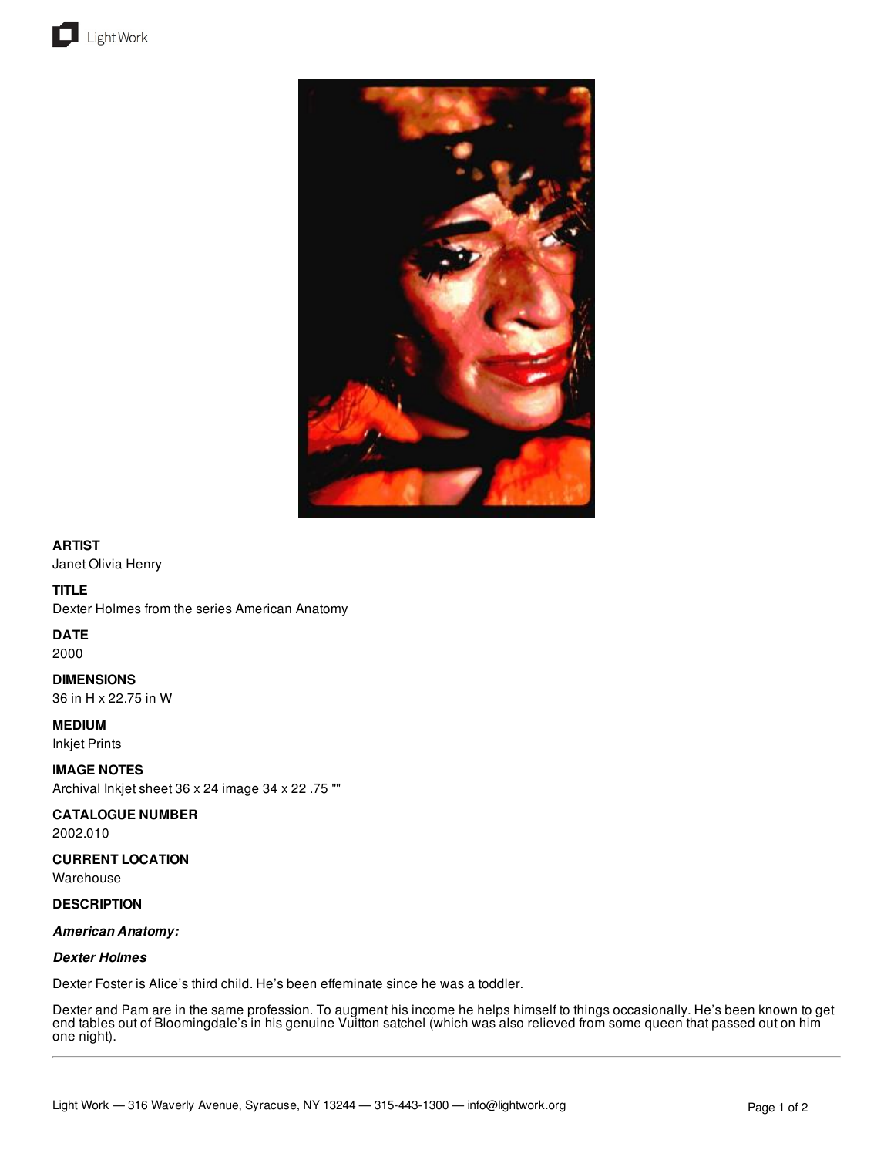



## **ARTIST**

Janet Olivia Henry

#### **TITLE**

Dexter Holmes from the series American Anatomy

#### **DATE**

2000

**DIMENSIONS** 36 in H x 22.75 in W

**MEDIUM**

Inkjet Prints

**IMAGE NOTES**

Archival Inkjet sheet 36 x 24 image 34 x 22 .75 ""

#### **CATALOGUE NUMBER**

2002.010

## **CURRENT LOCATION**

Warehouse

#### **DESCRIPTION**

## *American Anatomy:*

#### *Dexter Holmes*

Dexter Foster is Alice's third child. He's been effeminate since he was a toddler.

Dexter and Pam are in the same profession. To augment his income he helps himself to things occasionally. He's been known to get end tables out of Bloomingdale's in his genuine Vuitton satchel (which was also relieved from some queen that passed out on him one night).